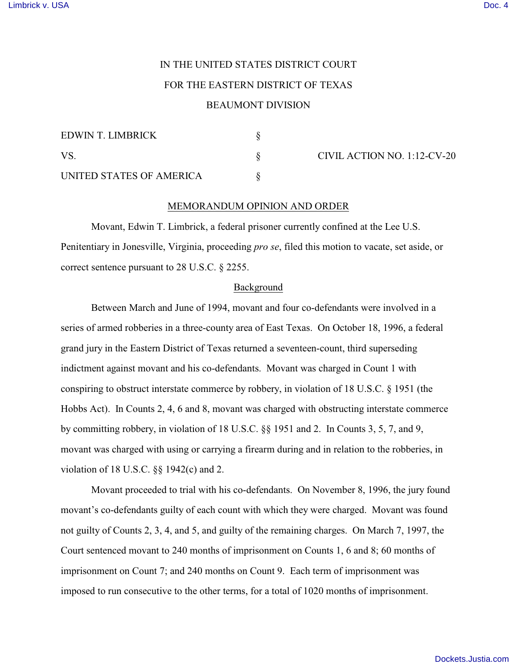# IN THE UNITED STATES DISTRICT COURT FOR THE EASTERN DISTRICT OF TEXAS BEAUMONT DIVISION

# EDWIN T. LIMBRICK §

| EDWIN 1. LIMBRICK        |  |
|--------------------------|--|
| VS.                      |  |
| UNITED STATES OF AMERICA |  |

CIVIL ACTION NO. 1:12-CV-20

## MEMORANDUM OPINION AND ORDER

Movant, Edwin T. Limbrick, a federal prisoner currently confined at the Lee U.S. Penitentiary in Jonesville, Virginia, proceeding *pro se*, filed this motion to vacate, set aside, or correct sentence pursuant to 28 U.S.C. § 2255.

### Background

Between March and June of 1994, movant and four co-defendants were involved in a series of armed robberies in a three-county area of East Texas. On October 18, 1996, a federal grand jury in the Eastern District of Texas returned a seventeen-count, third superseding indictment against movant and his co-defendants. Movant was charged in Count 1 with conspiring to obstruct interstate commerce by robbery, in violation of 18 U.S.C. § 1951 (the Hobbs Act). In Counts 2, 4, 6 and 8, movant was charged with obstructing interstate commerce by committing robbery, in violation of 18 U.S.C. §§ 1951 and 2. In Counts 3, 5, 7, and 9, movant was charged with using or carrying a firearm during and in relation to the robberies, in violation of 18 U.S.C. §§ 1942(c) and 2.

Movant proceeded to trial with his co-defendants. On November 8, 1996, the jury found movant's co-defendants guilty of each count with which they were charged. Movant was found not guilty of Counts 2, 3, 4, and 5, and guilty of the remaining charges. On March 7, 1997, the Court sentenced movant to 240 months of imprisonment on Counts 1, 6 and 8; 60 months of imprisonment on Count 7; and 240 months on Count 9. Each term of imprisonment was imposed to run consecutive to the other terms, for a total of 1020 months of imprisonment.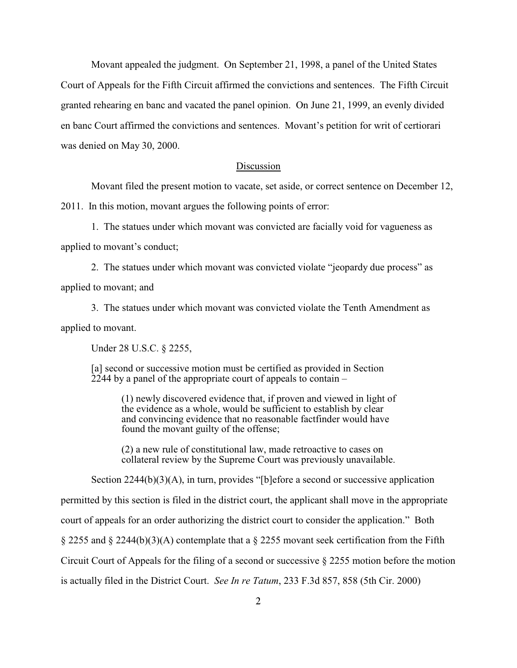Movant appealed the judgment. On September 21, 1998, a panel of the United States Court of Appeals for the Fifth Circuit affirmed the convictions and sentences. The Fifth Circuit granted rehearing en banc and vacated the panel opinion. On June 21, 1999, an evenly divided en banc Court affirmed the convictions and sentences. Movant's petition for writ of certiorari was denied on May 30, 2000.

#### Discussion

Movant filed the present motion to vacate, set aside, or correct sentence on December 12,

2011. In this motion, movant argues the following points of error:

1. The statues under which movant was convicted are facially void for vagueness as applied to movant's conduct;

2. The statues under which movant was convicted violate "jeopardy due process" as applied to movant; and

3. The statues under which movant was convicted violate the Tenth Amendment as applied to movant.

Under 28 U.S.C. § 2255,

[a] second or successive motion must be certified as provided in Section 2244 by a panel of the appropriate court of appeals to contain –

> (1) newly discovered evidence that, if proven and viewed in light of the evidence as a whole, would be sufficient to establish by clear and convincing evidence that no reasonable factfinder would have found the movant guilty of the offense;

> (2) a new rule of constitutional law, made retroactive to cases on collateral review by the Supreme Court was previously unavailable.

Section 2244(b)(3)(A), in turn, provides "[b]efore a second or successive application

permitted by this section is filed in the district court, the applicant shall move in the appropriate

court of appeals for an order authorizing the district court to consider the application." Both

§ 2255 and § 2244(b)(3)(A) contemplate that a § 2255 movant seek certification from the Fifth

Circuit Court of Appeals for the filing of a second or successive § 2255 motion before the motion

is actually filed in the District Court. *See In re Tatum*, 233 F.3d 857, 858 (5th Cir. 2000)